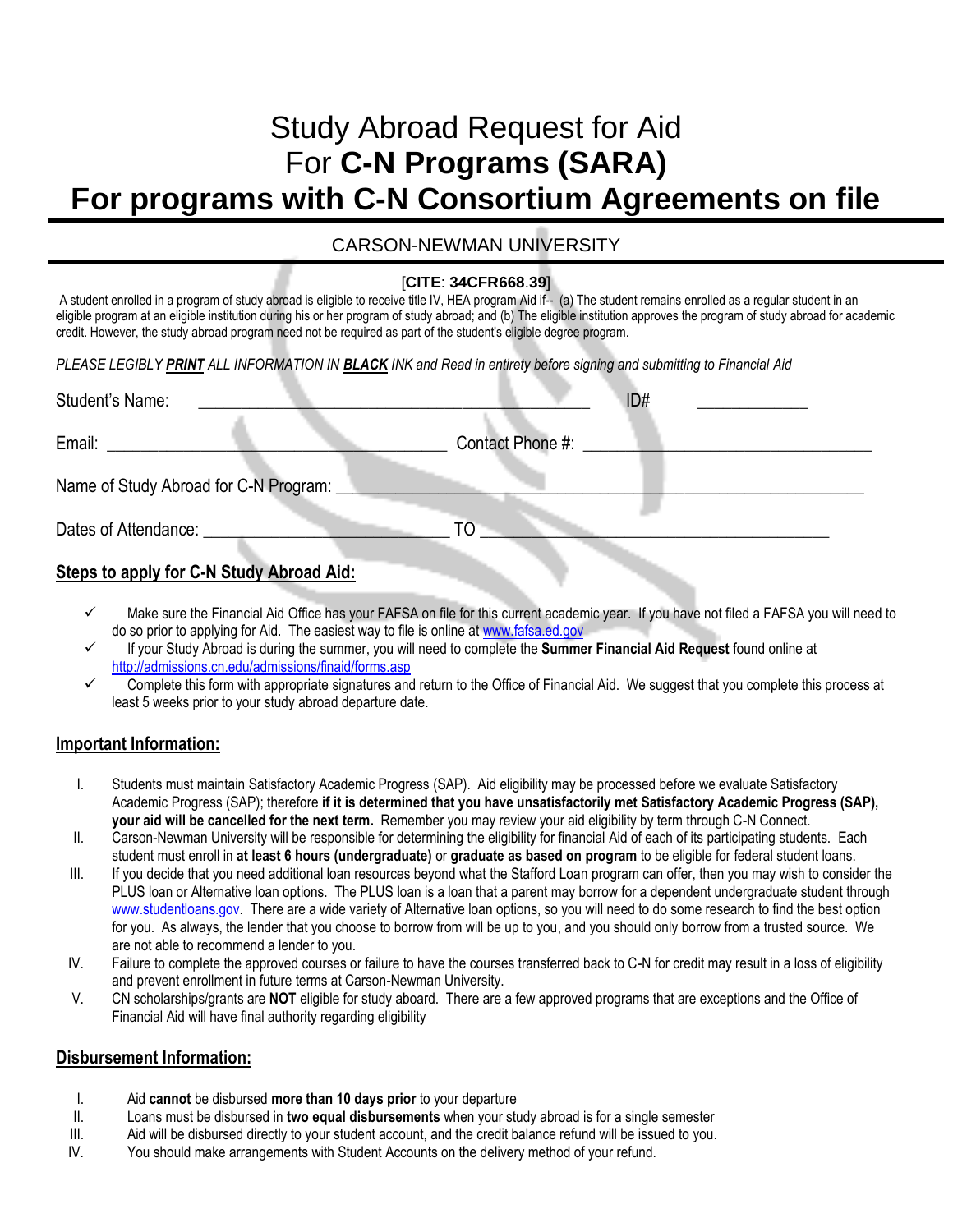# Study Abroad Request for Aid For **C-N Programs (SARA) For programs with C-N Consortium Agreements on file**

## CARSON-NEWMAN UNIVERSITY

#### [**CITE**: **34CFR668**.**39**]

A student enrolled in a program of study abroad is eligible to receive title IV, HEA program Aid if-- (a) The student remains enrolled as a regular student in an eligible program at an eligible institution during his or her program of study abroad; and (b) The eligible institution approves the program of study abroad for academic credit. However, the study abroad program need not be required as part of the student's eligible degree program.

#### *PLEASE LEGIBLY PRINT ALL INFORMATION IN BLACK INK and Read in entirety before signing and submitting to Financial Aid*

| Student's Name:      |                                       |                  | ID# |  |
|----------------------|---------------------------------------|------------------|-----|--|
| Email:               |                                       | Contact Phone #: |     |  |
|                      | Name of Study Abroad for C-N Program: |                  |     |  |
| Dates of Attendance: |                                       |                  |     |  |
|                      |                                       |                  |     |  |

# **Steps to apply for C-N Study Abroad Aid:**

- $\checkmark$  Make sure the Financial Aid Office has your FAFSA on file for this current academic year. If you have not filed a FAFSA you will need to do so prior to applying for Aid. The easiest way to file is online a[t www.fafsa.ed.gov](http://www.fafsa.ed.gov/)
- If your Study Abroad is during the summer, you will need to complete the **Summer Financial Aid Request** found online at <http://admissions.cn.edu/admissions/finaid/forms.asp>
- Complete this form with appropriate signatures and return to the Office of Financial Aid. We suggest that you complete this process at least 5 weeks prior to your study abroad departure date.

## **Important Information:**

- I. Students must maintain Satisfactory Academic Progress (SAP). Aid eligibility may be processed before we evaluate Satisfactory Academic Progress (SAP); therefore **if it is determined that you have unsatisfactorily met Satisfactory Academic Progress (SAP), your aid will be cancelled for the next term.** Remember you may review your aid eligibility by term through C-N Connect.
- II. Carson-Newman University will be responsible for determining the eligibility for financial Aid of each of its participating students. Each student must enroll in **at least 6 hours (undergraduate)** or **graduate as based on program** to be eligible for federal student loans.
- III. If you decide that you need additional loan resources beyond what the Stafford Loan program can offer, then you may wish to consider the PLUS loan or Alternative loan options. The PLUS loan is a loan that a parent may borrow for a dependent undergraduate student through [www.studentloans.gov.](http://www.studentloans.gov/) There are a wide variety of Alternative loan options, so you will need to do some research to find the best option for you. As always, the lender that you choose to borrow from will be up to you, and you should only borrow from a trusted source. We are not able to recommend a lender to you.
- IV. Failure to complete the approved courses or failure to have the courses transferred back to C-N for credit may result in a loss of eligibility and prevent enrollment in future terms at Carson-Newman University.
- V. CN scholarships/grants are **NOT** eligible for study aboard. There are a few approved programs that are exceptions and the Office of Financial Aid will have final authority regarding eligibility

## **Disbursement Information:**

- I. Aid **cannot** be disbursed **more than 10 days prior** to your departure
- II. Loans must be disbursed in **two equal disbursements** when your study abroad is for a single semester
- III. Aid will be disbursed directly to your student account, and the credit balance refund will be issued to you.
- IV. You should make arrangements with Student Accounts on the delivery method of your refund.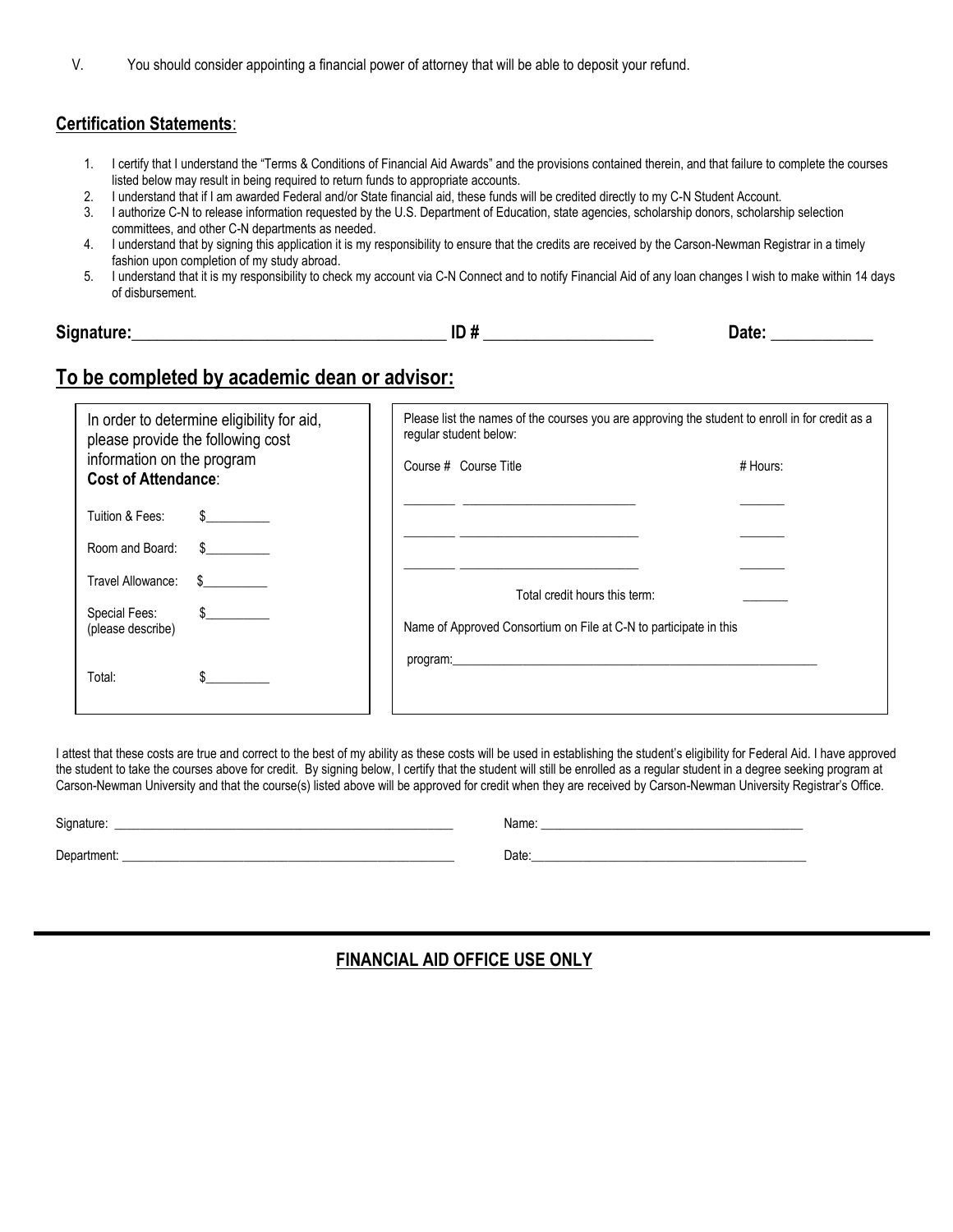| You should consider appointing a financial power of attorney that will be able to deposit your refund. |  |
|--------------------------------------------------------------------------------------------------------|--|
|--------------------------------------------------------------------------------------------------------|--|

#### **Certification Statements**:

- 1. I certify that I understand the "Terms & Conditions of Financial Aid Awards" and the provisions contained therein, and that failure to complete the courses listed below may result in being required to return funds to appropriate accounts.
- 2. I understand that if I am awarded Federal and/or State financial aid, these funds will be credited directly to my C-N Student Account.
- 3. I authorize C-N to release information requested by the U.S. Department of Education, state agencies, scholarship donors, scholarship selection committees, and other C-N departments as needed.
- 4. I understand that by signing this application it is my responsibility to ensure that the credits are received by the Carson-Newman Registrar in a timely fashion upon completion of my study abroad.
- 5. I understand that it is my responsibility to check my account via C-N Connect and to notify Financial Aid of any loan changes I wish to make within 14 days of disbursement.

| <b>Sian</b><br>ature: | шm<br>Date<br>"<br>- 11<br>__ |  |
|-----------------------|-------------------------------|--|
|-----------------------|-------------------------------|--|

# **To be completed by academic dean or advisor:**

| In order to determine eligibility for aid,<br>please provide the following cost<br>information on the program<br><b>Cost of Attendance:</b> |              | Please list the names of the courses you are approving the student to enroll in for credit as a<br>regular student below: |                                                                                                                                                                                                                                |            |  |
|---------------------------------------------------------------------------------------------------------------------------------------------|--------------|---------------------------------------------------------------------------------------------------------------------------|--------------------------------------------------------------------------------------------------------------------------------------------------------------------------------------------------------------------------------|------------|--|
|                                                                                                                                             |              |                                                                                                                           | Course # Course Title                                                                                                                                                                                                          | $#$ Hours: |  |
| Tuition & Fees:                                                                                                                             | $\mathbb{S}$ |                                                                                                                           |                                                                                                                                                                                                                                |            |  |
| Room and Board:                                                                                                                             | $\mathbb{S}$ |                                                                                                                           |                                                                                                                                                                                                                                |            |  |
| Travel Allowance:                                                                                                                           | $\mathbb{S}$ |                                                                                                                           | Total credit hours this term:                                                                                                                                                                                                  |            |  |
| Special Fees:<br>(please describe)                                                                                                          | $\sim$       |                                                                                                                           | Name of Approved Consortium on File at C-N to participate in this                                                                                                                                                              |            |  |
| Total:                                                                                                                                      |              |                                                                                                                           | program: exploration of the contract of the contract of the contract of the contract of the contract of the contract of the contract of the contract of the contract of the contract of the contract of the contract of the co |            |  |

I attest that these costs are true and correct to the best of my ability as these costs will be used in establishing the student's eligibility for Federal Aid. I have approved the student to take the courses above for credit. By signing below, I certify that the student will still be enrolled as a regular student in a degree seeking program at Carson-Newman University and that the course(s) listed above will be approved for credit when they are received by Carson-Newman University Registrar's Office.

Signature: \_\_\_\_\_\_\_\_\_\_\_\_\_\_\_\_\_\_\_\_\_\_\_\_\_\_\_\_\_\_\_\_\_\_\_\_\_\_\_\_\_\_\_\_\_\_\_\_\_\_\_\_\_ Name: \_\_\_\_\_\_\_\_\_\_\_\_\_\_\_\_\_\_\_\_\_\_\_\_\_\_\_\_\_\_\_\_\_\_\_\_\_\_\_\_\_

Department: \_\_\_\_\_\_\_\_\_\_\_\_\_\_\_\_\_\_\_\_\_\_\_\_\_\_\_\_\_\_\_\_\_\_\_\_\_\_\_\_\_\_\_\_\_\_\_\_\_\_\_\_ Date:\_\_\_\_\_\_\_\_\_\_\_\_\_\_\_\_\_\_\_\_\_\_\_\_\_\_\_\_\_\_\_\_\_\_\_\_\_\_\_\_\_\_\_

## **FINANCIAL AID OFFICE USE ONLY**